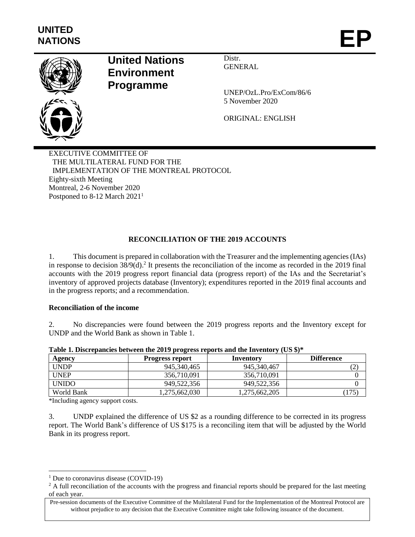

# **United Nations Environment Programme**

Distr. GENERAL

UNEP/OzL.Pro/ExCom/86/6 5 November 2020

ORIGINAL: ENGLISH

EXECUTIVE COMMITTEE OF THE MULTILATERAL FUND FOR THE IMPLEMENTATION OF THE MONTREAL PROTOCOL Eighty-sixth Meeting Montreal, 2-6 November 2020 Postponed to 8-12 March 2021<sup>1</sup>

# **RECONCILIATION OF THE 2019 ACCOUNTS**

1. This document is prepared in collaboration with the Treasurer and the implementing agencies (IAs) in response to decision 38/9(d). 2 It presents the reconciliation of the income as recorded in the 2019 final accounts with the 2019 progress report financial data (progress report) of the IAs and the Secretariat's inventory of approved projects database (Inventory); expenditures reported in the 2019 final accounts and in the progress reports; and a recommendation.

#### **Reconciliation of the income**

2. No discrepancies were found between the 2019 progress reports and the Inventory except for UNDP and the World Bank as shown in Table 1.

| Agency       | - 0<br><b>Progress report</b> | Inventory     | <b>Difference</b> |
|--------------|-------------------------------|---------------|-------------------|
| <b>UNDP</b>  | 945, 340, 465                 | 945, 340, 467 |                   |
| <b>UNEP</b>  | 356,710,091                   | 356.710.091   |                   |
| <b>UNIDO</b> | 949,522,356                   | 949.522.356   |                   |
| World Bank   | ,275,662,030                  | 1,275,662,205 |                   |

**Table 1. Discrepancies between the 2019 progress reports and the Inventory (US \$)\***

\*Including agency support costs.

l

3. UNDP explained the difference of US \$2 as a rounding difference to be corrected in its progress report. The World Bank's difference of US \$175 is a reconciling item that will be adjusted by the World Bank in its progress report.

<sup>&</sup>lt;sup>1</sup> Due to coronavirus disease (COVID-19)

<sup>&</sup>lt;sup>2</sup> A full reconciliation of the accounts with the progress and financial reports should be prepared for the last meeting of each year.

Pre-session documents of the Executive Committee of the Multilateral Fund for the Implementation of the Montreal Protocol are without prejudice to any decision that the Executive Committee might take following issuance of the document.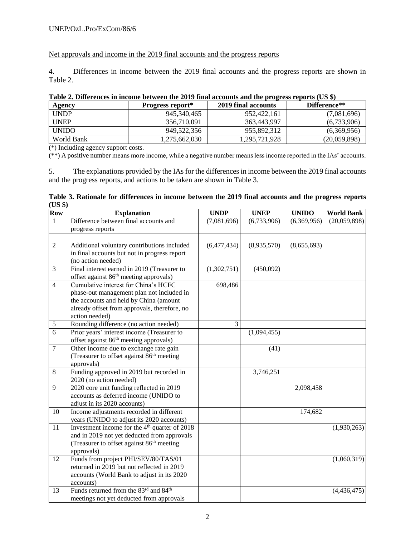### UNEP/OzL.Pro/ExCom/86/6

Net approvals and income in the 2019 final accounts and the progress reports

4. Differences in income between the 2019 final accounts and the progress reports are shown in Table 2.

| There is Direct chees in income securem the 2012 minimum counts and the progress reports (OS $\psi$ ) |                         |                     |              |  |  |  |  |
|-------------------------------------------------------------------------------------------------------|-------------------------|---------------------|--------------|--|--|--|--|
| Agency                                                                                                | <b>Progress report*</b> | 2019 final accounts | Difference** |  |  |  |  |
| <b>UNDP</b>                                                                                           | 945.340.465             | 952,422,161         | (7,081,696)  |  |  |  |  |
| <b>UNEP</b>                                                                                           | 356.710.091             | 363,443,997         | (6,733,906)  |  |  |  |  |
| <b>UNIDO</b>                                                                                          | 949.522.356             | 955.892.312         | (6,369,956)  |  |  |  |  |
| World Bank                                                                                            | 1,275,662,030           | 1,295,721,928       | (20,059,898) |  |  |  |  |

# **Table 2. Differences in income between the 2019 final accounts and the progress reports (US \$)**

(\*) Including agency support costs.

(\*\*) A positive number means more income, while a negative number means less income reported in the IAs' accounts.

5. The explanations provided by the IAs for the differences in income between the 2019 final accounts and the progress reports, and actions to be taken are shown in Table 3.

#### **Table 3. Rationale for differences in income between the 2019 final accounts and the progress reports (US \$)**

| Row            | <b>Explanation</b>                                        | <b>UNDP</b>    | <b>UNEP</b> | <b>UNIDO</b> | <b>World Bank</b> |
|----------------|-----------------------------------------------------------|----------------|-------------|--------------|-------------------|
| $\mathbf{1}$   | Difference between final accounts and                     | (7,081,696)    | (6,733,906) | (6,369,956)  | (20,059,898)      |
|                | progress reports                                          |                |             |              |                   |
|                |                                                           |                |             |              |                   |
| $\sqrt{2}$     | Additional voluntary contributions included               | (6,477,434)    | (8,935,570) | (8,655,693)  |                   |
|                | in final accounts but not in progress report              |                |             |              |                   |
|                | (no action needed)                                        |                |             |              |                   |
| 3              | Final interest earned in 2019 (Treasurer to               | (1,302,751)    | (450,092)   |              |                   |
|                | offset against 86 <sup>th</sup> meeting approvals)        |                |             |              |                   |
| $\overline{4}$ | Cumulative interest for China's HCFC                      | 698,486        |             |              |                   |
|                | phase-out management plan not included in                 |                |             |              |                   |
|                | the accounts and held by China (amount                    |                |             |              |                   |
|                | already offset from approvals, therefore, no              |                |             |              |                   |
|                | action needed)                                            |                |             |              |                   |
| $\sqrt{5}$     | Rounding difference (no action needed)                    | $\mathfrak{Z}$ |             |              |                   |
| $\overline{6}$ | Prior years' interest income (Treasurer to                |                | (1,094,455) |              |                   |
|                | offset against 86 <sup>th</sup> meeting approvals)        |                |             |              |                   |
| $\overline{7}$ | Other income due to exchange rate gain                    |                | (41)        |              |                   |
|                | (Treasurer to offset against 86 <sup>th</sup> meeting     |                |             |              |                   |
|                | approvals)                                                |                |             |              |                   |
| 8              | Funding approved in 2019 but recorded in                  |                | 3,746,251   |              |                   |
|                | 2020 (no action needed)                                   |                |             |              |                   |
| 9              | 2020 core unit funding reflected in 2019                  |                |             | 2,098,458    |                   |
|                | accounts as deferred income (UNIDO to                     |                |             |              |                   |
|                | adjust in its 2020 accounts)                              |                |             |              |                   |
| 10             | Income adjustments recorded in different                  |                |             | 174,682      |                   |
|                | years (UNIDO to adjust its 2020 accounts)                 |                |             |              |                   |
| 11             | Investment income for the 4 <sup>th</sup> quarter of 2018 |                |             |              | (1,930,263)       |
|                | and in 2019 not yet deducted from approvals               |                |             |              |                   |
|                | (Treasurer to offset against 86 <sup>th</sup> meeting     |                |             |              |                   |
|                | approvals)                                                |                |             |              |                   |
| 12             | Funds from project PHI/SEV/80/TAS/01                      |                |             |              | (1,060,319)       |
|                | returned in 2019 but not reflected in 2019                |                |             |              |                   |
|                | accounts (World Bank to adjust in its 2020                |                |             |              |                   |
|                | accounts)                                                 |                |             |              |                   |
| 13             | Funds returned from the 83rd and 84 <sup>th</sup>         |                |             |              | (4,436,475)       |
|                | meetings not yet deducted from approvals                  |                |             |              |                   |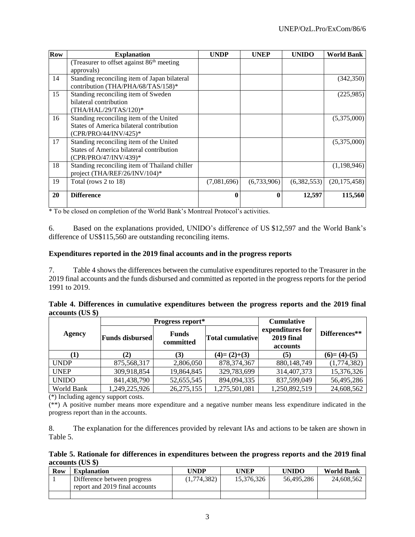| Row | <b>Explanation</b>                                     | <b>UNDP</b> | <b>UNEP</b>  | <b>UNIDO</b> | <b>World Bank</b> |
|-----|--------------------------------------------------------|-------------|--------------|--------------|-------------------|
|     | (Treasurer to offset against 86 <sup>th</sup> meeting) |             |              |              |                   |
|     | approvals)                                             |             |              |              |                   |
| 14  | Standing reconciling item of Japan bilateral           |             |              |              | (342, 350)        |
|     | contribution (THA/PHA/68/TAS/158)*                     |             |              |              |                   |
| 15  | Standing reconciling item of Sweden                    |             |              |              | (225,985)         |
|     | bilateral contribution                                 |             |              |              |                   |
|     | (THA/HAL/29/TAS/120)*                                  |             |              |              |                   |
| 16  | Standing reconciling item of the United                |             |              |              | (5,375,000)       |
|     | States of America bilateral contribution               |             |              |              |                   |
|     | (CPR/PRO/44/INV/425)*                                  |             |              |              |                   |
| 17  | Standing reconciling item of the United                |             |              |              | (5,375,000)       |
|     | States of America bilateral contribution               |             |              |              |                   |
|     | (CPR/PRO/47/INV/439)*                                  |             |              |              |                   |
| 18  | Standing reconciling item of Thailand chiller          |             |              |              | (1,198,946)       |
|     | project (THA/REF/26/INV/104)*                          |             |              |              |                   |
| 19  | Total (rows 2 to 18)                                   | (7,081,696) | (6,733,906)  | (6,382,553)  | (20, 175, 458)    |
|     |                                                        |             |              |              |                   |
| 20  | <b>Difference</b>                                      | 0           | $\mathbf{0}$ | 12,597       | 115,560           |
|     |                                                        |             |              |              |                   |

\* To be closed on completion of the World Bank's Montreal Protocol's activities.

6. Based on the explanations provided, UNIDO's difference of US \$12,597 and the World Bank's difference of US\$115,560 are outstanding reconciling items.

#### **Expenditures reported in the 2019 final accounts and in the progress reports**

7. Table 4 shows the differences between the cumulative expenditures reported to the Treasurer in the 2019 final accounts and the funds disbursed and committed as reported in the progress reports for the period 1991 to 2019.

|                    | Table 4. Differences in cumulative expenditures between the progress reports and the 2019 final |  |  |  |  |
|--------------------|-------------------------------------------------------------------------------------------------|--|--|--|--|
| $accounts$ (US \$) |                                                                                                 |  |  |  |  |

|               |                        | Progress report*          | <b>Cumulative</b>       |                                                   |               |
|---------------|------------------------|---------------------------|-------------------------|---------------------------------------------------|---------------|
| <b>Agency</b> | <b>Funds disbursed</b> | <b>Funds</b><br>committed | <b>Total cumulative</b> | expenditures for<br><b>2019 final</b><br>accounts |               |
| [1]           | (2)                    | (3)                       | $(4)=(2)+(3)$           | (5)                                               | $(6)=(4)-(5)$ |
| <b>UNDP</b>   | 875,568,317            | 2,806,050                 | 878, 374, 367           | 880,148,749                                       | (1,774,382)   |
| <b>UNEP</b>   | 309,918,854            | 19,864,845                | 329,783,699             | 314,407,373                                       | 15,376,326    |
| <b>UNIDO</b>  | 841,438,790            | 52,655,545                | 894,094,335             | 837,599,049                                       | 56,495,286    |
| World Bank    | ,249,225,926           | 26, 275, 155              | 1,275,501,081           | 1,250,892,519                                     | 24,608,562    |

(\*) Including agency support costs.

(\*\*) A positive number means more expenditure and a negative number means less expenditure indicated in the progress report than in the accounts.

8. The explanation for the differences provided by relevant IAs and actions to be taken are shown in Table 5.

**Table 5. Rationale for differences in expenditures between the progress reports and the 2019 final accounts (US \$)**

| <b>Row</b> | <b>Explanation</b>                                            | UNDP        | <b>UNEP</b> | <b>UNIDO</b> | <b>World Bank</b> |
|------------|---------------------------------------------------------------|-------------|-------------|--------------|-------------------|
|            | Difference between progress<br>report and 2019 final accounts | (1,774,382) | 15.376.326  | 56.495.286   | 24,608,562        |
|            |                                                               |             |             |              |                   |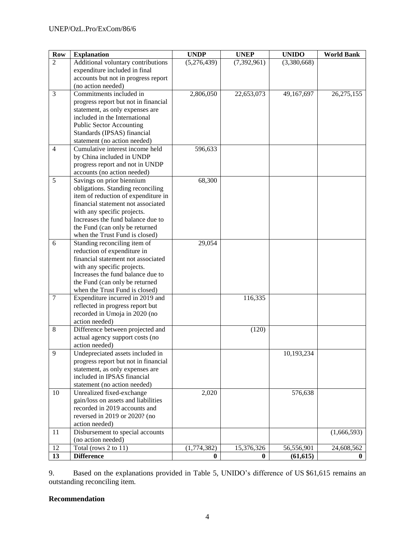| <b>Row</b>     | <b>Explanation</b>                                                       | <b>UNDP</b> | <b>UNEP</b>   | <b>UNIDO</b> | <b>World Bank</b> |
|----------------|--------------------------------------------------------------------------|-------------|---------------|--------------|-------------------|
| $\overline{2}$ | Additional voluntary contributions                                       | (5,276,439) | (7, 392, 961) | (3,380,668)  |                   |
|                | expenditure included in final                                            |             |               |              |                   |
|                | accounts but not in progress report                                      |             |               |              |                   |
|                | (no action needed)                                                       |             |               |              |                   |
| 3              | Commitments included in                                                  | 2,806,050   | 22,653,073    | 49,167,697   | 26,275,155        |
|                | progress report but not in financial                                     |             |               |              |                   |
|                | statement, as only expenses are                                          |             |               |              |                   |
|                | included in the International                                            |             |               |              |                   |
|                | <b>Public Sector Accounting</b>                                          |             |               |              |                   |
|                | Standards (IPSAS) financial                                              |             |               |              |                   |
|                | statement (no action needed)                                             |             |               |              |                   |
| $\overline{4}$ | Cumulative interest income held                                          | 596,633     |               |              |                   |
|                | by China included in UNDP                                                |             |               |              |                   |
|                | progress report and not in UNDP                                          |             |               |              |                   |
|                | accounts (no action needed)                                              |             |               |              |                   |
| 5              | Savings on prior biennium                                                | 68,300      |               |              |                   |
|                | obligations. Standing reconciling<br>item of reduction of expenditure in |             |               |              |                   |
|                | financial statement not associated                                       |             |               |              |                   |
|                | with any specific projects.                                              |             |               |              |                   |
|                | Increases the fund balance due to                                        |             |               |              |                   |
|                | the Fund (can only be returned                                           |             |               |              |                   |
|                | when the Trust Fund is closed)                                           |             |               |              |                   |
| 6              | Standing reconciling item of                                             | 29,054      |               |              |                   |
|                | reduction of expenditure in                                              |             |               |              |                   |
|                | financial statement not associated                                       |             |               |              |                   |
|                | with any specific projects.                                              |             |               |              |                   |
|                | Increases the fund balance due to                                        |             |               |              |                   |
|                | the Fund (can only be returned                                           |             |               |              |                   |
|                | when the Trust Fund is closed)                                           |             |               |              |                   |
| $\overline{7}$ | Expenditure incurred in 2019 and                                         |             | 116,335       |              |                   |
|                | reflected in progress report but                                         |             |               |              |                   |
|                | recorded in Umoja in 2020 (no                                            |             |               |              |                   |
|                | action needed)                                                           |             |               |              |                   |
| 8              | Difference between projected and                                         |             | (120)         |              |                   |
|                | actual agency support costs (no                                          |             |               |              |                   |
|                | action needed)                                                           |             |               |              |                   |
| 9.             | Undepreciated assets included in                                         |             |               | 10,193,234   |                   |
|                | progress report but not in financial                                     |             |               |              |                   |
|                | statement, as only expenses are<br>included in IPSAS financial           |             |               |              |                   |
|                | statement (no action needed)                                             |             |               |              |                   |
| 10             | Unrealized fixed-exchange                                                | 2,020       |               | 576,638      |                   |
|                | gain/loss on assets and liabilities                                      |             |               |              |                   |
|                | recorded in 2019 accounts and                                            |             |               |              |                   |
|                | reversed in 2019 or 2020? (no                                            |             |               |              |                   |
|                | action needed)                                                           |             |               |              |                   |
| 11             | Disbursement to special accounts                                         |             |               |              | (1,666,593)       |
|                | (no action needed)                                                       |             |               |              |                   |
| 12             | Total (rows 2 to 11)                                                     | (1,774,382) | 15,376,326    | 56,556,901   | 24,608,562        |
| 13             | <b>Difference</b>                                                        | $\bf{0}$    | $\bf{0}$      | (61, 615)    | $\bf{0}$          |

9. Based on the explanations provided in Table 5, UNIDO's difference of US \$61,615 remains an outstanding reconciling item.

# **Recommendation**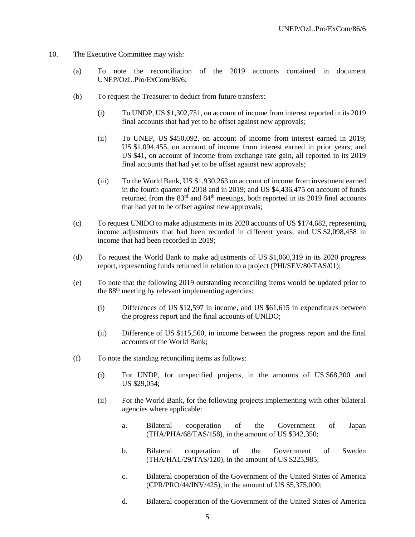- 10. The Executive Committee may wish:
	- (a) To note the reconciliation of the 2019 accounts contained in document UNEP/OzL.Pro/ExCom/86/6;
	- (b) To request the Treasurer to deduct from future transfers:
		- (i) To UNDP, US \$1,302,751, on account of income from interest reported in its 2019 final accounts that had yet to be offset against new approvals;
		- (ii) To UNEP, US \$450,092, on account of income from interest earned in 2019; US \$1,094,455, on account of income from interest earned in prior years; and US \$41, on account of income from exchange rate gain, all reported in its 2019 final accounts that had yet to be offset against new approvals;
		- (iii) To the World Bank, US \$1,930,263 on account of income from investment earned in the fourth quarter of 2018 and in 2019; and US \$4,436,475 on account of funds returned from the 83<sup>rd</sup> and 84<sup>th</sup> meetings, both reported in its 2019 final accounts that had yet to be offset against new approvals;
	- (c) To request UNIDO to make adjustments in its 2020 accounts of US \$174,682, representing income adjustments that had been recorded in different years; and US \$2,098,458 in income that had been recorded in 2019;
	- (d) To request the World Bank to make adjustments of US \$1,060,319 in its 2020 progress report, representing funds returned in relation to a project (PHI/SEV/80/TAS/01);
	- (e) To note that the following 2019 outstanding reconciling items would be updated prior to the 88<sup>th</sup> meeting by relevant implementing agencies:
		- (i) Differences of US \$12,597 in income, and US \$61,615 in expenditures between the progress report and the final accounts of UNIDO;
		- (ii) Difference of US \$115,560, in income between the progress report and the final accounts of the World Bank;
	- (f) To note the standing reconciling items as follows:
		- (i) For UNDP, for unspecified projects, in the amounts of US \$68,300 and US \$29,054;
		- (ii) For the World Bank, for the following projects implementing with other bilateral agencies where applicable:
			- a. Bilateral cooperation of the Government of Japan (THA/PHA/68/TAS/158), in the amount of US \$342,350;
			- b. Bilateral cooperation of the Government of Sweden (THA/HAL/29/TAS/120), in the amount of US \$225,985;
			- c. Bilateral cooperation of the Government of the United States of America (CPR/PRO/44/INV/425), in the amount of US \$5,375,000;
			- d. Bilateral cooperation of the Government of the United States of America